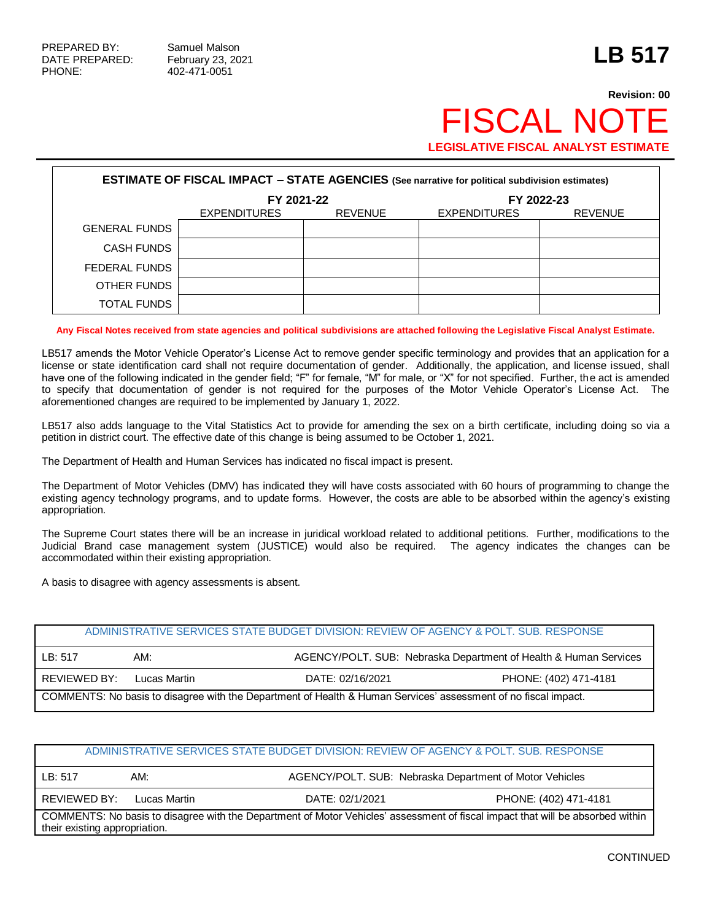## **Revision: 00** FISCAL NO **LEGISLATIVE FISCAL ANALYST ESTIMATE**

| <b>ESTIMATE OF FISCAL IMPACT - STATE AGENCIES (See narrative for political subdivision estimates)</b> |                                                     |  |                     |                |  |  |
|-------------------------------------------------------------------------------------------------------|-----------------------------------------------------|--|---------------------|----------------|--|--|
|                                                                                                       | FY 2021-22<br><b>EXPENDITURES</b><br><b>REVENUE</b> |  |                     | FY 2022-23     |  |  |
|                                                                                                       |                                                     |  | <b>EXPENDITURES</b> | <b>REVENUE</b> |  |  |
| <b>GENERAL FUNDS</b>                                                                                  |                                                     |  |                     |                |  |  |
| <b>CASH FUNDS</b>                                                                                     |                                                     |  |                     |                |  |  |
| FEDERAL FUNDS                                                                                         |                                                     |  |                     |                |  |  |
| OTHER FUNDS                                                                                           |                                                     |  |                     |                |  |  |
| <b>TOTAL FUNDS</b>                                                                                    |                                                     |  |                     |                |  |  |

**Any Fiscal Notes received from state agencies and political subdivisions are attached following the Legislative Fiscal Analyst Estimate.**

LB517 amends the Motor Vehicle Operator's License Act to remove gender specific terminology and provides that an application for a license or state identification card shall not require documentation of gender. Additionally, the application, and license issued, shall have one of the following indicated in the gender field; "F" for female, "M" for male, or "X" for not specified. Further, the act is amended to specify that documentation of gender is not required for the purposes of the Motor Vehicle Operator's License Act. The aforementioned changes are required to be implemented by January 1, 2022.

LB517 also adds language to the Vital Statistics Act to provide for amending the sex on a birth certificate, including doing so via a petition in district court. The effective date of this change is being assumed to be October 1, 2021.

The Department of Health and Human Services has indicated no fiscal impact is present.

The Department of Motor Vehicles (DMV) has indicated they will have costs associated with 60 hours of programming to change the existing agency technology programs, and to update forms. However, the costs are able to be absorbed within the agency's existing appropriation.

The Supreme Court states there will be an increase in juridical workload related to additional petitions. Further, modifications to the Judicial Brand case management system (JUSTICE) would also be required. The agency indicates the changes can be accommodated within their existing appropriation.

A basis to disagree with agency assessments is absent.

| ADMINISTRATIVE SERVICES STATE BUDGET DIVISION: REVIEW OF AGENCY & POLT. SUB. RESPONSE                          |              |                  |                                                                  |  |  |
|----------------------------------------------------------------------------------------------------------------|--------------|------------------|------------------------------------------------------------------|--|--|
| LB: 517                                                                                                        | AM:          |                  | AGENCY/POLT. SUB: Nebraska Department of Health & Human Services |  |  |
| REVIEWED BY:                                                                                                   | Lucas Martin | DATE: 02/16/2021 | PHONE: (402) 471-4181                                            |  |  |
| COMMENTS: No basis to disagree with the Department of Health & Human Services' assessment of no fiscal impact. |              |                  |                                                                  |  |  |

## ADMINISTRATIVE SERVICES STATE BUDGET DIVISION: REVIEW OF AGENCY & POLT. SUB. RESPONSE LB: 517 AM: AM: AGENCY/POLT. SUB: Nebraska Department of Motor Vehicles REVIEWED BY: Lucas Martin DATE: 02/1/2021 PHONE: (402) 471-4181 COMMENTS: No basis to disagree with the Department of Motor Vehicles' assessment of fiscal impact that will be absorbed within their existing appropriation.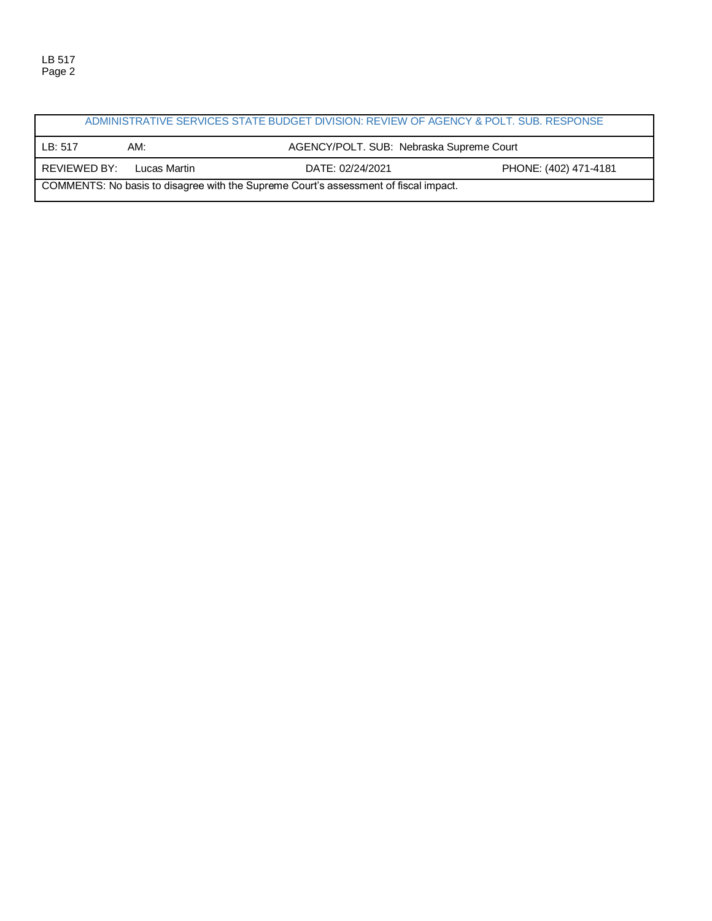ADMINISTRATIVE SERVICES STATE BUDGET DIVISION: REVIEW OF AGENCY & POLT. SUB. RESPONSE LB: 517 AM: AM: AGENCY/POLT. SUB: Nebraska Supreme Court REVIEWED BY: Lucas Martin DATE: 02/24/2021 PHONE: (402) 471-4181 COMMENTS: No basis to disagree with the Supreme Court's assessment of fiscal impact.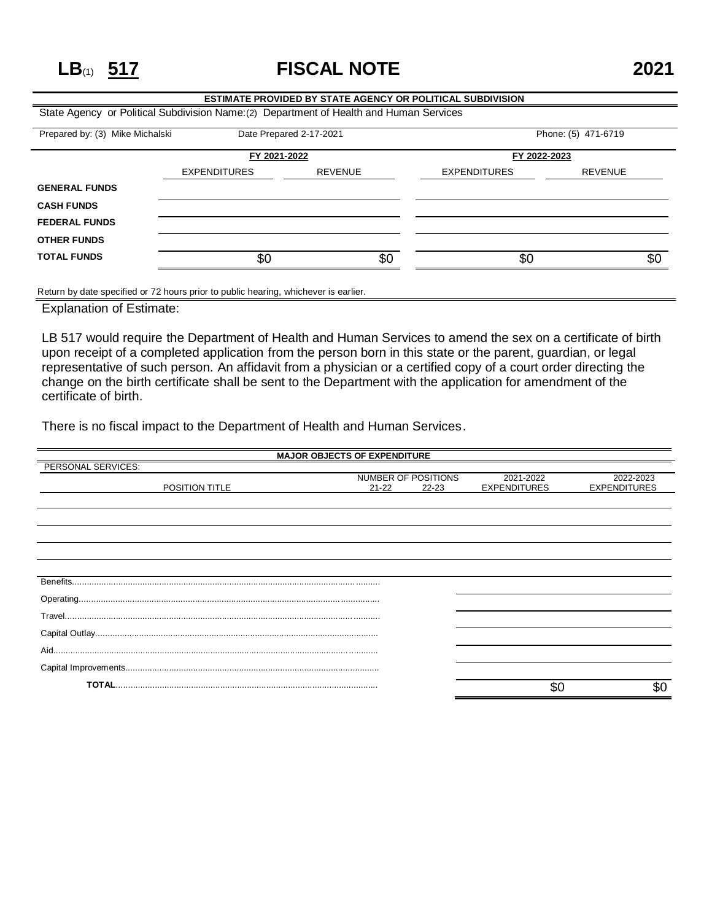**LB**(1) **517 FISCAL NOTE 2021**

## **ESTIMATE PROVIDED BY STATE AGENCY OR POLITICAL SUBDIVISION** State Agency or Political Subdivision Name:(2) Department of Health and Human Services Prepared by: (3) Mike Michalski Date Prepared 2-17-2021 Phone: (5) 471-6719 **FY 2021-2022 FY 2022-2023** EXPENDITURES REVENUE EXPENDITURES REVENUE **GENERAL FUNDS**

| <b>CASH FUNDS</b>    |     |     |     |      |
|----------------------|-----|-----|-----|------|
| <b>FEDERAL FUNDS</b> |     |     |     |      |
| <b>OTHER FUNDS</b>   |     |     |     |      |
| <b>TOTAL FUNDS</b>   | \$С | \$Ο | \$0 | -\$C |
|                      |     |     |     |      |

Return by date specified or 72 hours prior to public hearing, whichever is earlier.

Explanation of Estimate:

LB 517 would require the Department of Health and Human Services to amend the sex on a certificate of birth upon receipt of a completed application from the person born in this state or the parent, guardian, or legal representative of such person. An affidavit from a physician or a certified copy of a court order directing the change on the birth certificate shall be sent to the Department with the application for amendment of the certificate of birth.

There is no fiscal impact to the Department of Health and Human Services.

| <b>MAJOR OBJECTS OF EXPENDITURE</b> |           |                     |                     |                     |  |
|-------------------------------------|-----------|---------------------|---------------------|---------------------|--|
| PERSONAL SERVICES:                  |           |                     |                     |                     |  |
|                                     |           | NUMBER OF POSITIONS | 2021-2022           | 2022-2023           |  |
| POSITION TITLE                      | $21 - 22$ | $22 - 23$           | <b>EXPENDITURES</b> | <b>EXPENDITURES</b> |  |
|                                     |           |                     |                     |                     |  |
|                                     |           |                     |                     |                     |  |
|                                     |           |                     |                     |                     |  |
|                                     |           |                     |                     |                     |  |
|                                     |           |                     |                     |                     |  |
|                                     |           |                     |                     |                     |  |
|                                     |           |                     |                     |                     |  |
|                                     |           |                     |                     |                     |  |
|                                     |           |                     |                     |                     |  |
|                                     |           |                     |                     |                     |  |
|                                     |           |                     |                     |                     |  |
|                                     |           |                     |                     |                     |  |
|                                     |           |                     |                     |                     |  |
|                                     |           |                     |                     |                     |  |
|                                     |           |                     |                     |                     |  |
|                                     |           |                     |                     |                     |  |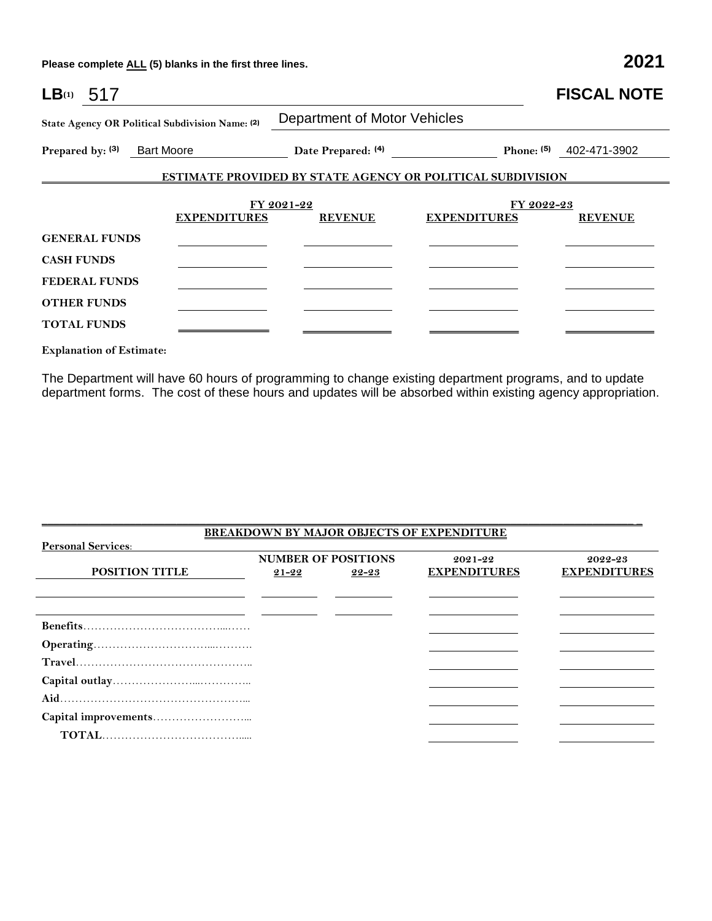**Please complete ALL (5) blanks in the first three lines. 2021**

| LB <sub>(1)</sub> 517       |                                                 |                              |                                                                   | <b>FISCAL NOTE</b>        |  |  |
|-----------------------------|-------------------------------------------------|------------------------------|-------------------------------------------------------------------|---------------------------|--|--|
|                             | State Agency OR Political Subdivision Name: (2) | Department of Motor Vehicles |                                                                   |                           |  |  |
| Prepared by: (3) Bart Moore |                                                 | Date Prepared: (4)           |                                                                   | Phone: $(5)$ 402-471-3902 |  |  |
|                             |                                                 |                              | <b>ESTIMATE PROVIDED BY STATE AGENCY OR POLITICAL SUBDIVISION</b> |                           |  |  |
|                             |                                                 | FY 2021-22                   | FY 2022-23                                                        |                           |  |  |
|                             | <b>EXPENDITURES</b>                             | <b>REVENUE</b>               | <b>EXPENDITURES</b>                                               | <b>REVENUE</b>            |  |  |
| <b>GENERAL FUNDS</b>        |                                                 |                              |                                                                   |                           |  |  |
| <b>CASH FUNDS</b>           |                                                 |                              |                                                                   |                           |  |  |
| <b>FEDERAL FUNDS</b>        |                                                 |                              |                                                                   |                           |  |  |
| <b>OTHER FUNDS</b>          |                                                 |                              |                                                                   |                           |  |  |
| <b>TOTAL FUNDS</b>          |                                                 |                              |                                                                   |                           |  |  |

**Explanation of Estimate:**

The Department will have 60 hours of programming to change existing department programs, and to update department forms. The cost of these hours and updates will be absorbed within existing agency appropriation.

| <b>BREAKDOWN BY MAJOR OBJECTS OF EXPENDITURE</b> |           |                            |                     |                     |  |  |
|--------------------------------------------------|-----------|----------------------------|---------------------|---------------------|--|--|
| <b>Personal Services:</b>                        |           |                            |                     |                     |  |  |
|                                                  |           | <b>NUMBER OF POSITIONS</b> | $2021 - 22$         | 2022-23             |  |  |
| <b>POSITION TITLE</b>                            | $21 - 22$ | 22-23                      | <b>EXPENDITURES</b> | <b>EXPENDITURES</b> |  |  |
|                                                  |           |                            |                     |                     |  |  |
|                                                  |           |                            |                     |                     |  |  |
|                                                  |           |                            |                     |                     |  |  |
|                                                  |           |                            |                     |                     |  |  |
|                                                  |           |                            |                     |                     |  |  |
|                                                  |           |                            |                     |                     |  |  |
|                                                  |           |                            |                     |                     |  |  |
|                                                  |           |                            |                     |                     |  |  |
|                                                  |           |                            |                     |                     |  |  |
|                                                  |           |                            |                     |                     |  |  |